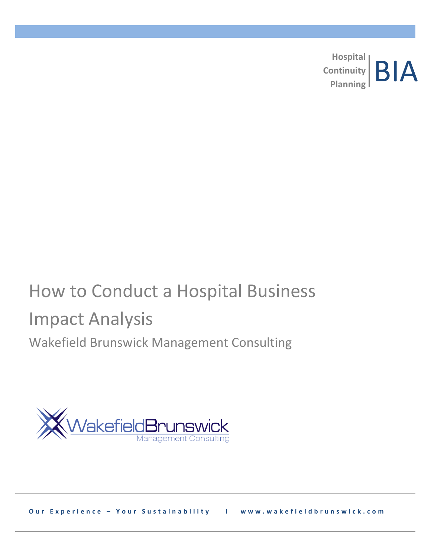**Hospital Continuity**  Planning **BIA** 

# How to Conduct a Hospital Business Impact Analysis Wakefield Brunswick Management Consulting



**Our Experience - Your Sustainability l www.wakefieldbrunswick.com**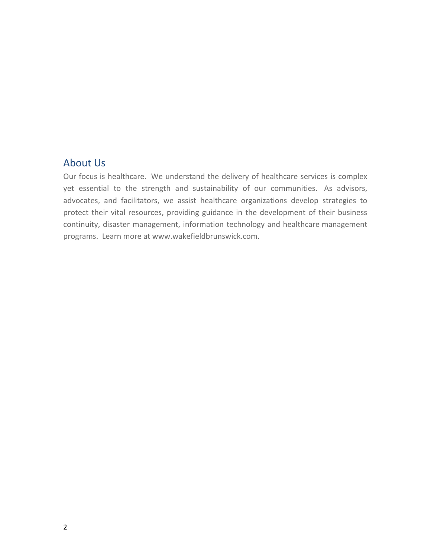# About Us

Our focus is healthcare. We understand the delivery of healthcare services is complex yet essential to the strength and sustainability of our communities. As advisors, advocates, and facilitators, we assist healthcare organizations develop strategies to protect their vital resources, providing guidance in the development of their business continuity, disaster management, information technology and healthcare management programs. Learn more at www.wakefieldbrunswick.com.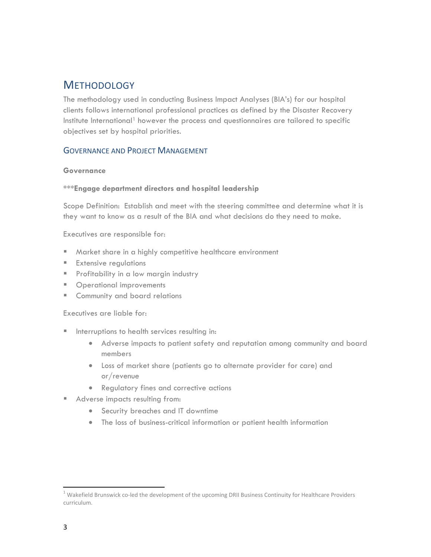# **METHODOLOGY**

The methodology used in conducting Business Impact Analyses (BIA's) for our hospital clients follows international professional practices as defined by the Disaster Recovery Institute International<sup>1</sup> however the process and questionnaires are tailored to specific objectives set by hospital priorities.

## GOVERNANCE AND PROJECT MANAGEMENT

#### **Governance**

#### **\*\*\*Engage department directors and hospital leadership**

Scope Definition: Establish and meet with the steering committee and determine what it is they want to know as a result of the BIA and what decisions do they need to make.

Executives are responsible for:

- Market share in a highly competitive healthcare environment
- **Extensive regulations**
- **Profitability in a low margin industry**
- **Derational improvements**
- **EXECOMMUNITY and board relations**

Executives are liable for:

- **Interruptions to health services resulting in:** 
	- Adverse impacts to patient safety and reputation among community and board members
	- Loss of market share (patients go to alternate provider for care) and or/revenue
	- Regulatory fines and corrective actions
- Adverse impacts resulting from:
	- Security breaches and IT downtime
	- The loss of business-critical information or patient health information

 $\overline{\phantom{a}}$ 

<sup>&</sup>lt;sup>1</sup> Wakefield Brunswick co-led the development of the upcoming DRII Business Continuity for Healthcare Providers curriculum.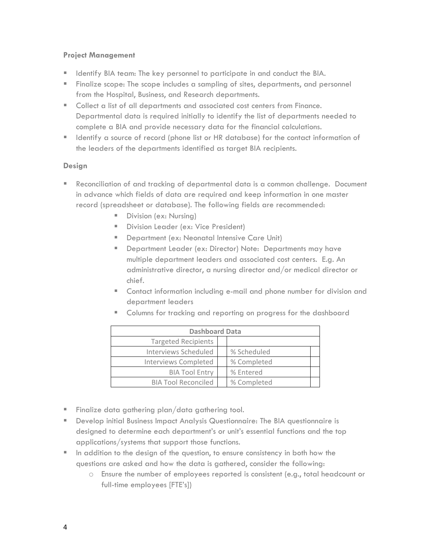#### **Project Management**

- **IDENTIFY BIA team: The key personnel to participate in and conduct the BIA.**
- Finalize scope: The scope includes a sampling of sites, departments, and personnel from the Hospital, Business, and Research departments.
- Collect a list of all departments and associated cost centers from Finance. Departmental data is required initially to identify the list of departments needed to complete a BIA and provide necessary data for the financial calculations.
- If Identify a source of record (phone list or HR database) for the contact information of the leaders of the departments identified as target BIA recipients.

#### **Design**

- Reconciliation of and tracking of departmental data is a common challenge. Document in advance which fields of data are required and keep information in one master record (spreadsheet or database). The following fields are recommended:
	- Division (ex: Nursing)
	- Division Leader (ex: Vice President)
	- **Department (ex: Neonatal Intensive Care Unit)**
	- **Department Leader (ex: Director) Note: Departments may have** multiple department leaders and associated cost centers. E.g. An administrative director, a nursing director and/or medical director or chief.
	- Contact information including e-mail and phone number for division and department leaders

|  |  |  |  |  | " Columns for tracking and reporting on progress for the dashboard |
|--|--|--|--|--|--------------------------------------------------------------------|
|  |  |  |  |  |                                                                    |

| <b>Dashboard Data</b>       |  |             |  |  |  |
|-----------------------------|--|-------------|--|--|--|
| <b>Targeted Recipients</b>  |  |             |  |  |  |
| Interviews Scheduled        |  | % Scheduled |  |  |  |
| <b>Interviews Completed</b> |  | % Completed |  |  |  |
| <b>BIA Tool Entry</b>       |  | % Entered   |  |  |  |
| <b>BIA Tool Reconciled</b>  |  | % Completed |  |  |  |

- **Finalize data gathering plan/data gathering tool.**
- Develop initial Business Impact Analysis Questionnaire: The BIA questionnaire is designed to determine each department's or unit's essential functions and the top applications/systems that support those functions.
- In addition to the design of the question, to ensure consistency in both how the questions are asked and how the data is gathered, consider the following:
	- o Ensure the number of employees reported is consistent (e.g., total headcount or full-time employees [FTE's])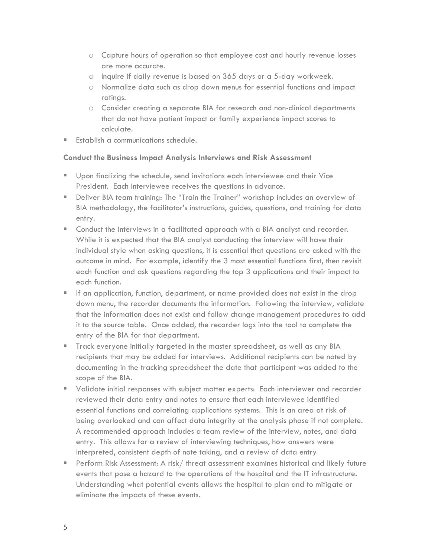- o Capture hours of operation so that employee cost and hourly revenue losses are more accurate.
- o Inquire if daily revenue is based on 365 days or a 5-day workweek.
- o Normalize data such as drop down menus for essential functions and impact ratings.
- o Consider creating a separate BIA for research and non-clinical departments that do not have patient impact or family experience impact scores to calculate.
- **Establish a communications schedule.**

### **Conduct the Business Impact Analysis Interviews and Risk Assessment**

- Upon finalizing the schedule, send invitations each interviewee and their Vice President. Each interviewee receives the questions in advance.
- Deliver BIA team training: The "Train the Trainer" workshop includes an overview of BIA methodology, the facilitator's instructions, guides, questions, and training for data entry.
- Conduct the interviews in a facilitated approach with a BIA analyst and recorder. While it is expected that the BIA analyst conducting the interview will have their individual style when asking questions, it is essential that questions are asked with the outcome in mind. For example, identify the 3 most essential functions first, then revisit each function and ask questions regarding the top 3 applications and their impact to each function.
- **If an application, function, department, or name provided does not exist in the drop** down menu, the recorder documents the information. Following the interview, validate that the information does not exist and follow change management procedures to add it to the source table. Once added, the recorder logs into the tool to complete the entry of the BIA for that department.
- Track everyone initially targeted in the master spreadsheet, as well as any BIA recipients that may be added for interviews. Additional recipients can be noted by documenting in the tracking spreadsheet the date that participant was added to the scope of the BIA.
- Validate initial responses with subject matter experts: Each interviewer and recorder reviewed their data entry and notes to ensure that each interviewee identified essential functions and correlating applications systems. This is an area at risk of being overlooked and can affect data integrity at the analysis phase if not complete. A recommended approach includes a team review of the interview, notes, and data entry. This allows for a review of interviewing techniques, how answers were interpreted, consistent depth of note taking, and a review of data entry
- Perform Risk Assessment: A risk/ threat assessment examines historical and likely future events that pose a hazard to the operations of the hospital and the IT infrastructure. Understanding what potential events allows the hospital to plan and to mitigate or eliminate the impacts of these events.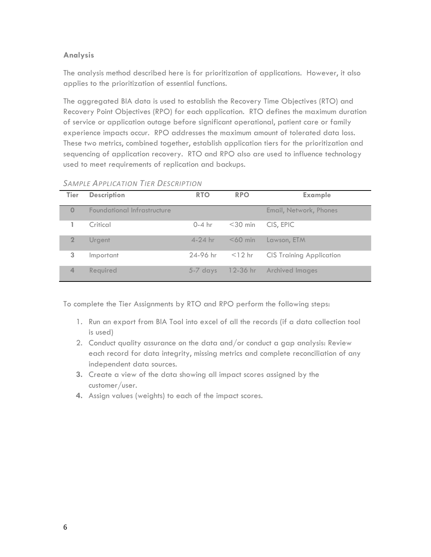## **Analysis**

The analysis method described here is for prioritization of applications. However, it also applies to the prioritization of essential functions.

The aggregated BIA data is used to establish the Recovery Time Objectives (RTO) and Recovery Point Objectives (RPO) for each application. RTO defines the maximum duration of service or application outage before significant operational, patient care or family experience impacts occur. RPO addresses the maximum amount of tolerated data loss. These two metrics, combined together, establish application tiers for the prioritization and sequencing of application recovery. RTO and RPO also are used to influence technology used to meet requirements of replication and backups.

| Tier           | <b>Description</b>          | <b>RTO</b> | <b>RPO</b> | <b>Example</b>                  |
|----------------|-----------------------------|------------|------------|---------------------------------|
| $\Omega$       | Foundational Infrastructure |            |            | Email, Network, Phones          |
|                | Critical                    | $0-4$ hr   | $<$ 30 min | CIS, EPIC                       |
| $\mathbf{2}$   | <b>Urgent</b>               | $4-24$ hr  | $<$ 60 min | Lawson, ETM                     |
| 3              | Important                   | 24-96 hr   | $<$ 12 hr  | <b>CIS Training Application</b> |
| $\overline{4}$ | Required                    | $5-7$ days |            | 12-36 hr Archived Images        |

#### *SAMPLE APPLICATION TIER DESCRIPTION*

To complete the Tier Assignments by RTO and RPO perform the following steps:

- 1. Run an export from BIA Tool into excel of all the records (if a data collection tool is used)
- 2. Conduct quality assurance on the data and/or conduct a gap analysis: Review each record for data integrity, missing metrics and complete reconciliation of any independent data sources.
- **3.** Create a view of the data showing all impact scores assigned by the customer/user.
- **4.** Assign values (weights) to each of the impact scores.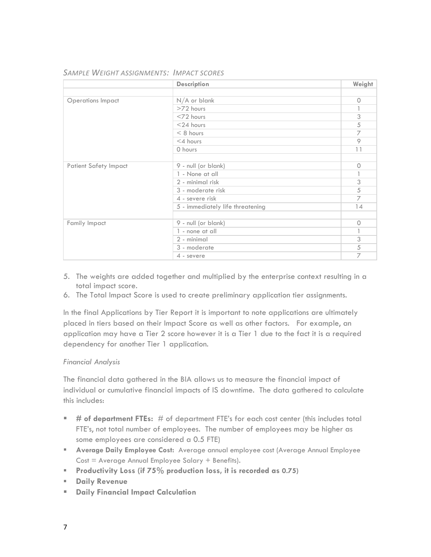|                              | <b>Description</b>               | Weight       |
|------------------------------|----------------------------------|--------------|
|                              |                                  |              |
| <b>Operations Impact</b>     | $N/A$ or blank                   | $\circ$      |
|                              | $>72$ hours                      | 1            |
|                              | $<$ 72 hours                     | 3            |
|                              | $<$ 24 hours                     | 5            |
|                              | $< 8$ hours                      | 7            |
|                              | $<$ 4 hours                      | $\circ$      |
|                              | 0 hours                          | 11           |
|                              |                                  |              |
| <b>Patient Safety Impact</b> | 9 - null (or blank)              | $\circ$      |
|                              | 1 - None at all                  | 1            |
|                              | 2 - minimal risk                 | 3            |
|                              | 3 - moderate risk                | 5            |
|                              | 4 - severe risk                  | 7            |
|                              | 5 - immediately life threatening | 14           |
|                              |                                  |              |
| Family Impact                | 9 - null (or blank)              | $\circ$      |
|                              | 1 - none at all                  | $\mathbb{I}$ |
|                              | 2 - minimal                      | 3            |
|                              | 3 - moderate                     | 5            |
|                              | 4 - severe                       | 7            |

#### *SAMPLE WEIGHT ASSIGNMENTS: IMPACT SCORES*

- 5. The weights are added together and multiplied by the enterprise context resulting in a total impact score.
- 6. The Total Impact Score is used to create preliminary application tier assignments.

In the final Applications by Tier Report it is important to note applications are ultimately placed in tiers based on their Impact Score as well as other factors. For example, an application may have a Tier 2 score however it is a Tier 1 due to the fact it is a required dependency for another Tier 1 application.

#### *Financial Analysis*

The financial data gathered in the BIA allows us to measure the financial impact of individual or cumulative financial impacts of IS downtime. The data gathered to calculate this includes:

- **# of department FTEs:** # of department FTE's for each cost center (this includes total FTE's, not total number of employees. The number of employees may be higher as some employees are considered a 0.5 FTE)
- **Average Daily Employee Cost:** Average annual employee cost (Average Annual Employee  $Cost = Average Annual Employee$  Salary + Benefits).
- **Productivity Loss (if 75% production loss, it is recorded as 0.75)**
- **Paily Revenue**
- **Daily Financial Impact Calculation**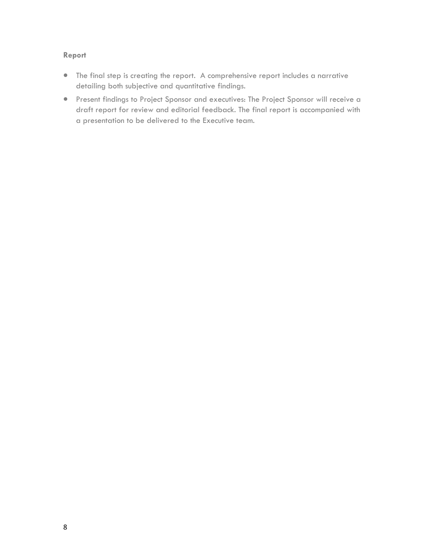#### **Report**

- The final step is creating the report. A comprehensive report includes a narrative detailing both subjective and quantitative findings.
- Present findings to Project Sponsor and executives: The Project Sponsor will receive a draft report for review and editorial feedback. The final report is accompanied with a presentation to be delivered to the Executive team.